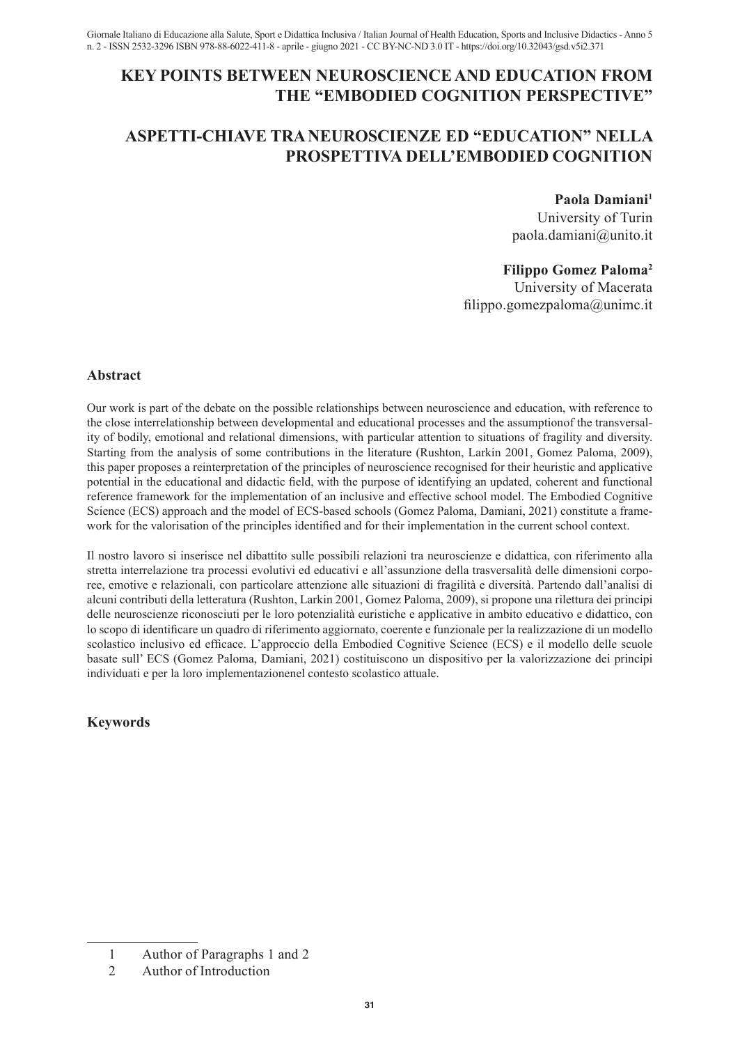# **KEY POINTS BETWEEN NEUROSCIENCE AND EDUCATION FROM THE "EMBODIED COGNITION PERSPECTIVE"**

# **ASPETTI-CHIAVE TRA NEUROSCIENZE ED "EDUCATION" NELLA PROSPETTIVA DELL'EMBODIED COGNITION**

## **Paola Damiani1**

University of Turin paola.damiani@unito.it

## **Filippo Gomez Paloma2**

University of Macerata filippo.gomezpaloma@unimc.it

### **Abstract**

Our work is part of the debate on the possible relationships between neuroscience and education, with reference to the close interrelationship between developmental and educational processes and the assumption of the transversality of bodily, emotional and relational dimensions, with particular attention to situations of fragility and diversity. Starting from the analysis of some contributions in the literature (Rushton, Larkin 2001, Gomez Paloma, 2009), this paper proposes a reinterpretation of the principles of neuroscience recognised for their heuristic and applicative potential in the educational and didactic field, with the purpose of identifying an updated, coherent and functional reference framework for the implementation of an inclusive and effective school model. The Embodied Cognitive Science (ECS) approach and the model of ECS-based schools (Gomez Paloma, Damiani, 2021) constitute a framework for the valorisation of the principles identified and for their implementation in the current school context.

Il nostro lavoro si inserisce nel dibattito sulle possibili relazioni tra neuroscienze e didattica, con riferimento alla stretta interrelazione tra processi evolutivi ed educativi e all'assunzione della trasversalità delle dimensioni corporee, emotive e relazionali, con particolare attenzione alle situazioni di fragilità e diversità. Partendo dall'analisi di alcuni contributi della letteratura (Rushton, Larkin 2001, Gomez Paloma, 2009), si propone una rilettura dei principi delle neuroscienze riconosciuti per le loro potenzialità euristiche e applicative in ambito educativo e didattico, con lo scopo di identificare un quadro di riferimento aggiornato, coerente e funzionale per la realizzazione di un modello scolastico inclusivo ed efficace. L'approccio della Embodied Cognitive Science (ECS) e il modello delle scuole basate sull' ECS (Gomez Paloma, Damiani, 2021) costituiscono un dispositivo per la valorizzazione dei principi individuati e per la loro implementazionenel contesto scolastico attuale.

## **Keywords**

<sup>1</sup> Author of Paragraphs 1 and 2

<sup>2</sup> Author of Introduction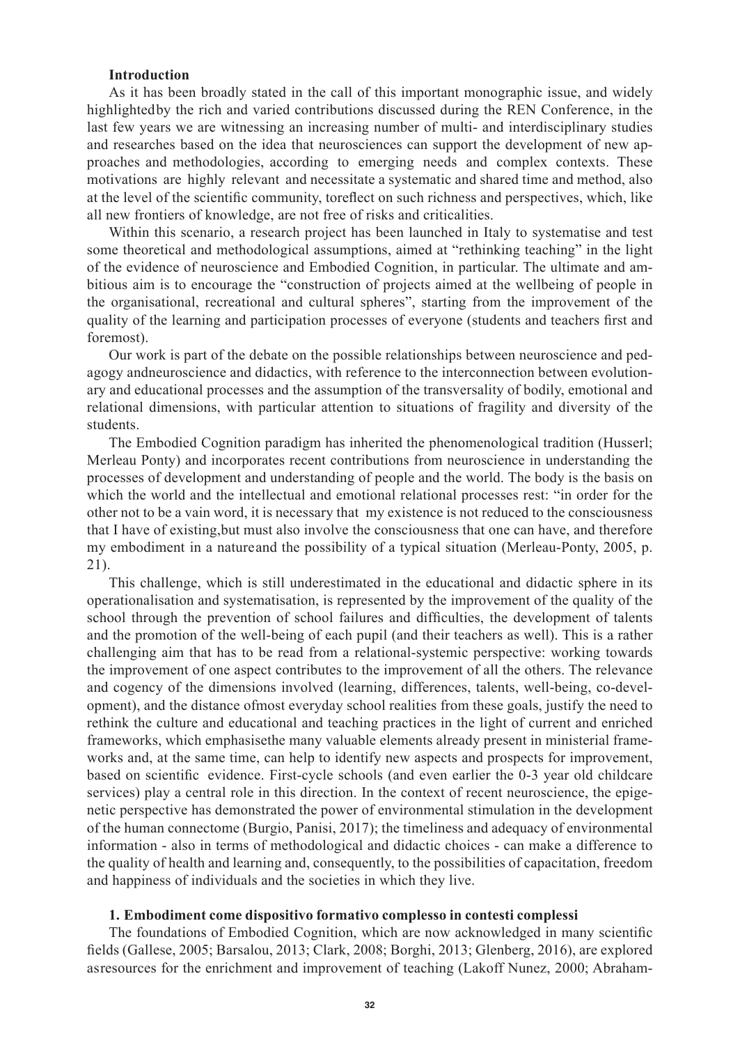### **Introduction**

As it has been broadly stated in the call of this important monographic issue, and widely highlighted by the rich and varied contributions discussed during the REN Conference, in the last few years we are witnessing an increasing number of multi- and interdisciplinary studies and researches based on the idea that neurosciences can support the development of new approaches and methodologies, according to emerging needs and complex contexts. These motivations are highly relevant and necessitate a systematic and shared time and method, also at the level of the scientific community, to reflect on such richness and perspectives, which, like all new frontiers of knowledge, are not free of risks and criticalities.

Within this scenario, a research project has been launched in Italy to systematise and test some theoretical and methodological assumptions, aimed at "rethinking teaching" in the light of the evidence of neuroscience and Embodied Cognition, in particular. The ultimate and ambitious aim is to encourage the "construction of projects aimed at the wellbeing of people in the organisational, recreational and cultural spheres", starting from the improvement of the quality of the learning and participation processes of everyone (students and teachers first and foremost).

Our work is part of the debate on the possible relationships between neuroscience and pedagogy and neuroscience and didactics, with reference to the interconnection between evolutionary and educational processes and the assumption of the transversality of bodily, emotional and relational dimensions, with particular attention to situations of fragility and diversity of the students.

The Embodied Cognition paradigm has inherited the phenomenological tradition (Husserl; Merleau Ponty) and incorporates recent contributions from neuroscience in understanding the processes of development and understanding of people and the world. The body is the basis on which the world and the intellectual and emotional relational processes rest: "in order for the other not to be a vain word, it is necessary that my existence is not reduced to the consciousness that I have of existing, but must also involve the consciousness that one can have, and therefore my embodiment in a nature and the possibility of a typical situation (Merleau-Ponty, 2005, p. 21).

This challenge, which is still underestimated in the educational and didactic sphere in its operationalisation and systematisation, is represented by the improvement of the quality of the school through the prevention of school failures and difficulties, the development of talents and the promotion of the well-being of each pupil (and their teachers as well). This is a rather challenging aim that has to be read from a relational-systemic perspective: working towards the improvement of one aspect contributes to the improvement of all the others. The relevance and cogency of the dimensions involved (learning, differences, talents, well-being, co-development), and the distance of most everyday school realities from these goals, justify the need to rethink the culture and educational and teaching practices in the light of current and enriched frameworks, which emphasise the many valuable elements already present in ministerial frameworks and, at the same time, can help to identify new aspects and prospects for improvement, based on scientific evidence. First-cycle schools (and even earlier the 0-3 year old childcare services) play a central role in this direction. In the context of recent neuroscience, the epigenetic perspective has demonstrated the power of environmental stimulation in the development of the human connectome (Burgio, Panisi, 2017); the timeliness and adequacy of environmental information - also in terms of methodological and didactic choices - can make a difference to the quality of health and learning and, consequently, to the possibilities of capacitation, freedom and happiness of individuals and the societies in which they live.

#### **1. Embodiment come dispositivo formativo complesso in contesti complessi**

The foundations of Embodied Cognition, which are now acknowledged in many scientific fields (Gallese, 2005; Barsalou, 2013; Clark, 2008; Borghi, 2013; Glenberg, 2016), are explored as resources for the enrichment and improvement of teaching (Lakoff Nunez, 2000; Abraham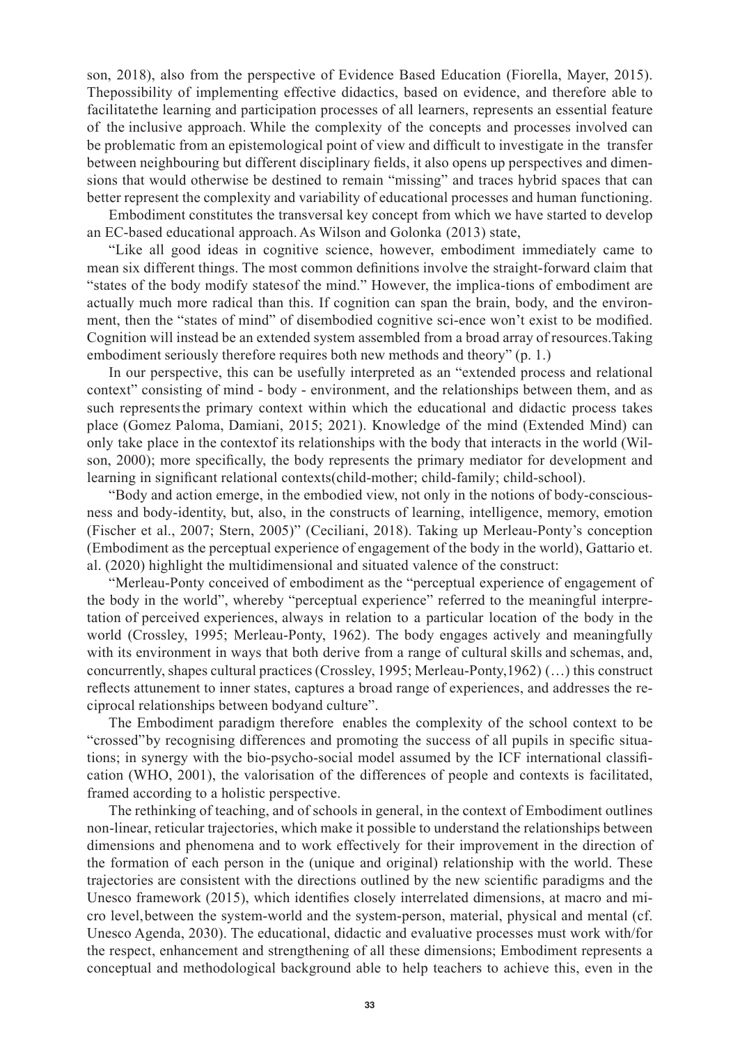son, 2018), also from the perspective of Evidence Based Education (Fiorella, Mayer, 2015). The possibility of implementing effective didactics, based on evidence, and therefore able to facilitate the learning and participation processes of all learners, represents an essential feature of the inclusive approach. While the complexity of the concepts and processes involved can be problematic from an epistemological point of view and difficult to investigate in the transfer between neighbouring but different disciplinary fields, it also opens up perspectives and dimensions that would otherwise be destined to remain "missing" and traces hybrid spaces that can better represent the complexity and variability of educational processes and human functioning.

Embodiment constitutes the transversal key concept from which we have started to develop an EC-based educational approach. As Wilson and Golonka (2013) state,

"Like all good ideas in cognitive science, however, embodiment immediately came to mean six different things. The most common definitions involve the straight-forward claim that "states of the body modify states of the mind." However, the implica-tions of embodiment are actually much more radical than this. If cognition can span the brain, body, and the environment, then the "states of mind" of disembodied cognitive sci-ence won't exist to be modified. Cognition will instead be an extended system assembled from a broad array of resources.Taking embodiment seriously therefore requires both new methods and theory" (p. 1.)

In our perspective, this can be usefully interpreted as an "extended process and relational context" consisting of mind - body - environment, and the relationships between them, and as such represents the primary context within which the educational and didactic process takes place (Gomez Paloma, Damiani, 2015; 2021). Knowledge of the mind (Extended Mind) can only take place in the context of its relationships with the body that interacts in the world (Wilson, 2000); more specifically, the body represents the primary mediator for development and learning in significant relational contexts (child-mother; child-family; child-school).

"Body and action emerge, in the embodied view, not only in the notions of body-consciousness and body-identity, but, also, in the constructs of learning, intelligence, memory, emotion (Fischer et al., 2007; Stern, 2005)" (Ceciliani, 2018). Taking up Merleau-Ponty's conception (Embodiment as the perceptual experience of engagement of the body in the world), Gattario et. al. (2020) highlight the multidimensional and situated valence of the construct:

"Merleau-Ponty conceived of embodiment as the "perceptual experience of engagement of the body in the world", whereby "perceptual experience" referred to the meaningful interpretation of perceived experiences, always in relation to a particular location of the body in the world (Crossley, 1995; Merleau-Ponty, 1962). The body engages actively and meaningfully with its environment in ways that both derive from a range of cultural skills and schemas, and, concurrently, shapes cultural practices (Crossley, 1995; Merleau-Ponty,1962) (…) this construct reflects attunement to inner states, captures a broad range of experiences, and addresses the reciprocal relationships between bodyand culture".

The Embodiment paradigm therefore enables the complexity of the school context to be "crossed" by recognising differences and promoting the success of all pupils in specific situations; in synergy with the bio-psycho-social model assumed by the ICF international classification (WHO, 2001), the valorisation of the differences of people and contexts is facilitated, framed according to a holistic perspective.

The rethinking of teaching, and of schools in general, in the context of Embodiment outlines non-linear, reticular trajectories, which make it possible to understand the relationships between dimensions and phenomena and to work effectively for their improvement in the direction of the formation of each person in the (unique and original) relationship with the world. These trajectories are consistent with the directions outlined by the new scientific paradigms and the Unesco framework (2015), which identifies closely interrelated dimensions, at macro and micro level, between the system-world and the system-person, material, physical and mental (cf. Unesco Agenda, 2030). The educational, didactic and evaluative processes must work with/for the respect, enhancement and strengthening of all these dimensions; Embodiment represents a conceptual and methodological background able to help teachers to achieve this, even in the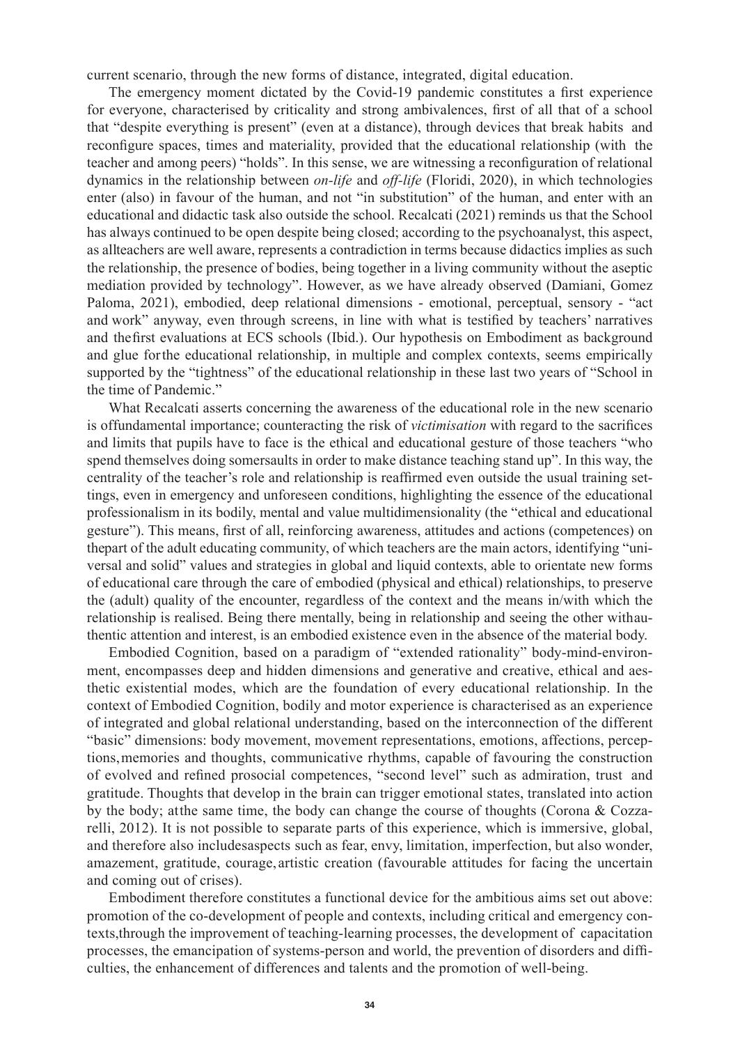current scenario, through the new forms of distance, integrated, digital education.

The emergency moment dictated by the Covid-19 pandemic constitutes a first experience for everyone, characterised by criticality and strong ambivalences, first of all that of a school that "despite everything is present" (even at a distance), through devices that break habits and reconfigure spaces, times and materiality, provided that the educational relationship (with the teacher and among peers) "holds". In this sense, we are witnessing a reconfiguration of relational dynamics in the relationship between *on-life* and *off-life* (Floridi, 2020), in which technologies enter (also) in favour of the human, and not "in substitution" of the human, and enter with an educational and didactic task also outside the school. Recalcati (2021) reminds us that the School has always continued to be open despite being closed; according to the psychoanalyst, this aspect, as all teachers are well aware, represents a contradiction in terms because didactics implies as such the relationship, the presence of bodies, being together in a living community without the aseptic mediation provided by technology". However, as we have already observed (Damiani, Gomez Paloma, 2021), embodied, deep relational dimensions - emotional, perceptual, sensory - "act and work" anyway, even through screens, in line with what is testified by teachers' narratives and the first evaluations at ECS schools (Ibid.). Our hypothesis on Embodiment as background and glue for the educational relationship, in multiple and complex contexts, seems empirically supported by the "tightness" of the educational relationship in these last two years of "School in the time of Pandemic."

What Recalcati asserts concerning the awareness of the educational role in the new scenario is of fundamental importance; counteracting the risk of *victimisation* with regard to the sacrifices and limits that pupils have to face is the ethical and educational gesture of those teachers "who spend themselves doing somersaults in order to make distance teaching stand up". In this way, the centrality of the teacher's role and relationship is reaffirmed even outside the usual training settings, even in emergency and unforeseen conditions, highlighting the essence of the educational professionalism in its bodily, mental and value multidimensionality (the "ethical and educational gesture"). This means, first of all, reinforcing awareness, attitudes and actions (competences) on the part of the adult educating community, of which teachers are the main actors, identifying "universal and solid" values and strategies in global and liquid contexts, able to orientate new forms of educational care through the care of embodied (physical and ethical) relationships, to preserve the (adult) quality of the encounter, regardless of the context and the means in/with which the relationship is realised. Being there mentally, being in relationship and seeing the other with authentic attention and interest, is an embodied existence even in the absence of the material body.

Embodied Cognition, based on a paradigm of "extended rationality" body-mind-environment, encompasses deep and hidden dimensions and generative and creative, ethical and aesthetic existential modes, which are the foundation of every educational relationship. In the context of Embodied Cognition, bodily and motor experience is characterised as an experience of integrated and global relational understanding, based on the interconnection of the different "basic" dimensions: body movement, movement representations, emotions, affections, perceptions, memories and thoughts, communicative rhythms, capable of favouring the construction of evolved and refined prosocial competences, "second level" such as admiration, trust and gratitude. Thoughts that develop in the brain can trigger emotional states, translated into action by the body; at the same time, the body can change the course of thoughts (Corona & Cozzarelli, 2012). It is not possible to separate parts of this experience, which is immersive, global, and therefore also includes aspects such as fear, envy, limitation, imperfection, but also wonder, amazement, gratitude, courage, artistic creation (favourable attitudes for facing the uncertain and coming out of crises).

Embodiment therefore constitutes a functional device for the ambitious aims set out above: promotion of the co-development of people and contexts, including critical and emergency contexts, through the improvement of teaching-learning processes, the development of capacitation processes, the emancipation of systems-person and world, the prevention of disorders and difficulties, the enhancement of differences and talents and the promotion of well-being.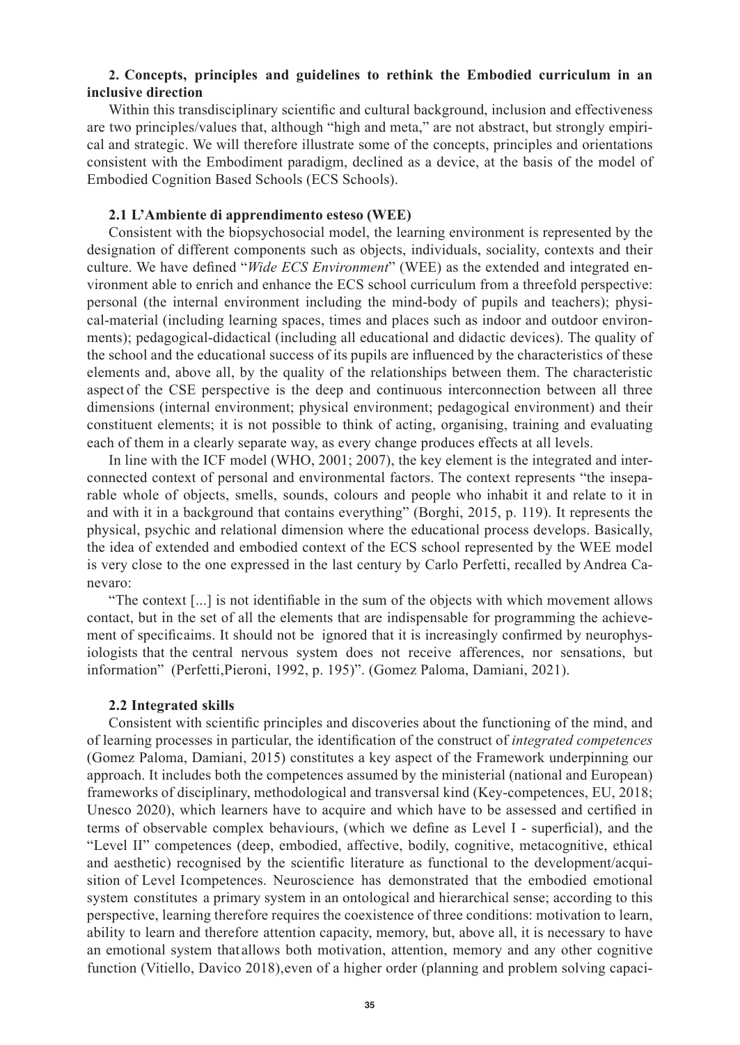## **2. Concepts, principles and guidelines to rethink the Embodied curriculum in an inclusive direction**

Within this transdisciplinary scientific and cultural background, inclusion and effectiveness are two principles/values that, although "high and meta," are not abstract, but strongly empirical and strategic. We will therefore illustrate some of the concepts, principles and orientations consistent with the Embodiment paradigm, declined as a device, at the basis of the model of Embodied Cognition Based Schools (ECS Schools).

#### **2.1 L'Ambiente di apprendimento esteso (WEE)**

Consistent with the biopsychosocial model, the learning environment is represented by the designation of different components such as objects, individuals, sociality, contexts and their culture. We have defined "*Wide ECS Environment*" (WEE) as the extended and integrated environment able to enrich and enhance the ECS school curriculum from a threefold perspective: personal (the internal environment including the mind-body of pupils and teachers); physical-material (including learning spaces, times and places such as indoor and outdoor environments); pedagogical-didactical (including all educational and didactic devices). The quality of the school and the educational success of its pupils are influenced by the characteristics of these elements and, above all, by the quality of the relationships between them. The characteristic aspect of the CSE perspective is the deep and continuous interconnection between all three dimensions (internal environment; physical environment; pedagogical environment) and their constituent elements; it is not possible to think of acting, organising, training and evaluating each of them in a clearly separate way, as every change produces effects at all levels.

In line with the ICF model (WHO, 2001; 2007), the key element is the integrated and interconnected context of personal and environmental factors. The context represents "the inseparable whole of objects, smells, sounds, colours and people who inhabit it and relate to it in and with it in a background that contains everything" (Borghi, 2015, p. 119). It represents the physical, psychic and relational dimension where the educational process develops. Basically, the idea of extended and embodied context of the ECS school represented by the WEE model is very close to the one expressed in the last century by Carlo Perfetti, recalled by Andrea Canevaro:

"The context [...] is not identifiable in the sum of the objects with which movement allows contact, but in the set of all the elements that are indispensable for programming the achievement of specificaims. It should not be ignored that it is increasingly confirmed by neurophysiologists that the central nervous system does not receive afferences, nor sensations, but information" (Perfetti, Pieroni, 1992, p. 195)". (Gomez Paloma, Damiani, 2021).

#### **2.2 Integrated skills**

Consistent with scientific principles and discoveries about the functioning of the mind, and of learning processes in particular, the identification of the construct of *integrated competences*  (Gomez Paloma, Damiani, 2015) constitutes a key aspect of the Framework underpinning our approach. It includes both the competences assumed by the ministerial (national and European) frameworks of disciplinary, methodological and transversal kind (Key-competences, EU, 2018; Unesco 2020), which learners have to acquire and which have to be assessed and certified in terms of observable complex behaviours, (which we define as Level I - superficial), and the "Level II" competences (deep, embodied, affective, bodily, cognitive, metacognitive, ethical and aesthetic) recognised by the scientific literature as functional to the development/acquisition of Level I competences. Neuroscience has demonstrated that the embodied emotional system constitutes a primary system in an ontological and hierarchical sense; according to this perspective, learning therefore requires the coexistence of three conditions: motivation to learn, ability to learn and therefore attention capacity, memory, but, above all, it is necessary to have an emotional system that allows both motivation, attention, memory and any other cognitive function (Vitiello, Davico 2018), even of a higher order (planning and problem solving capaci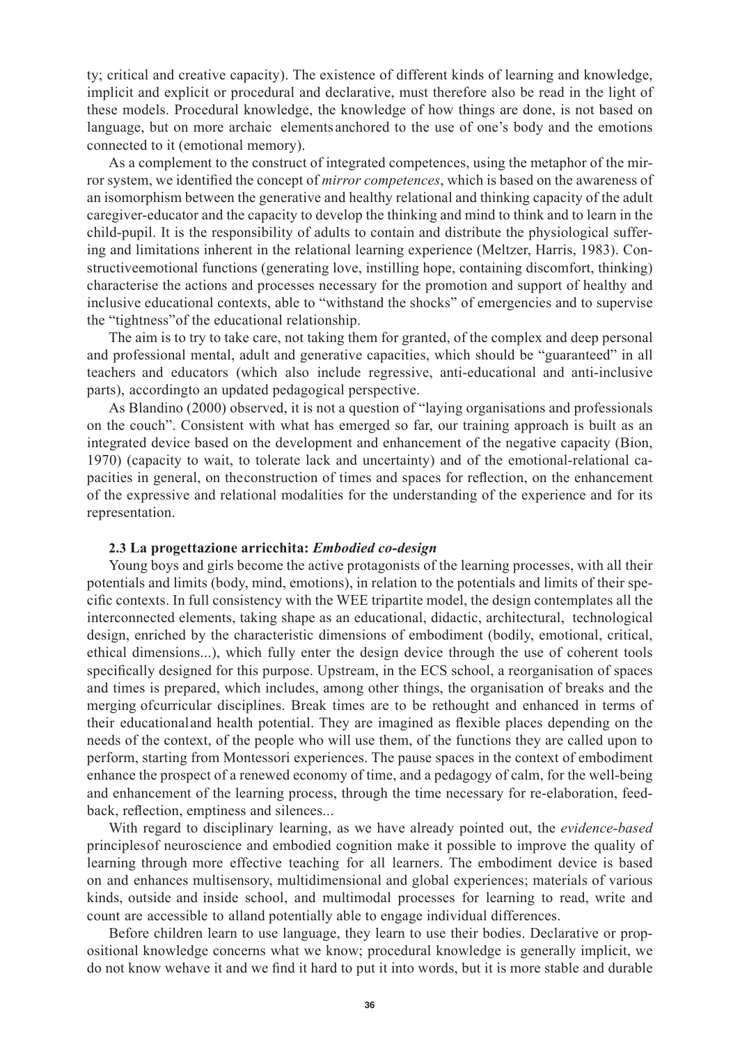ty; critical and creative capacity). The existence of different kinds of learning and knowledge, implicit and explicit or procedural and declarative, must therefore also be read in the light of these models. Procedural knowledge, the knowledge of how things are done, is not based on language, but on more archaic elements anchored to the use of one's body and the emotions connected to it (emotional memory).

As a complement to the construct of integrated competences, using the metaphor of the mirror system, we identified the concept of *mirror competences*, which is based on the awareness of an isomorphism between the generative and healthy relational and thinking capacity of the adult caregiver-educator and the capacity to develop the thinking and mind to think and to learn in the child-pupil. It is the responsibility of adults to contain and distribute the physiological suffering and limitations inherent in the relational learning experience (Meltzer, Harris, 1983). Constructive emotional functions (generating love, instilling hope, containing discomfort, thinking) characterise the actions and processes necessary for the promotion and support of healthy and inclusive educational contexts, able to "withstand the shocks" of emergencies and to supervise the "tightness" of the educational relationship.

The aim is to try to take care, not taking them for granted, of the complex and deep personal and professional mental, adult and generative capacities, which should be "guaranteed" in all teachers and educators (which also include regressive, anti-educational and anti-inclusive parts), according to an updated pedagogical perspective.

As Blandino (2000) observed, it is not a question of "laying organisations and professionals on the couch". Consistent with what has emerged so far, our training approach is built as an integrated device based on the development and enhancement of the negative capacity (Bion, 1970) (capacity to wait, to tolerate lack and uncertainty) and of the emotional-relational capacities in general, on the construction of times and spaces for reflection, on the enhancement of the expressive and relational modalities for the understanding of the experience and for its representation.

#### **2.3 La progettazione arricchita:** *Embodied co-design*

Young boys and girls become the active protagonists of the learning processes, with all their potentials and limits (body, mind, emotions), in relation to the potentials and limits of their specific contexts. In full consistency with the WEE tripartite model, the design contemplates all the interconnected elements, taking shape as an educational, didactic, architectural, technological design, enriched by the characteristic dimensions of embodiment (bodily, emotional, critical, ethical dimensions...), which fully enter the design device through the use of coherent tools specifically designed for this purpose. Upstream, in the ECS school, a reorganisation of spaces and times is prepared, which includes, among other things, the organisation of breaks and the merging of curricular disciplines. Break times are to be rethought and enhanced in terms of their educational and health potential. They are imagined as flexible places depending on the needs of the context, of the people who will use them, of the functions they are called upon to perform, starting from Montessori experiences. The pause spaces in the context of embodiment enhance the prospect of a renewed economy of time, and a pedagogy of calm, for the well-being and enhancement of the learning process, through the time necessary for re-elaboration, feedback, reflection, emptiness and silences...

With regard to disciplinary learning, as we have already pointed out, the *evidence-based*  principles of neuroscience and embodied cognition make it possible to improve the quality of learning through more effective teaching for all learners. The embodiment device is based on and enhances multisensory, multidimensional and global experiences; materials of various kinds, outside and inside school, and multimodal processes for learning to read, write and count are accessible to alland potentially able to engage individual differences.

Before children learn to use language, they learn to use their bodies. Declarative or propositional knowledge concerns what we know; procedural knowledge is generally implicit, we do not know we have it and we find it hard to put it into words, but it is more stable and durable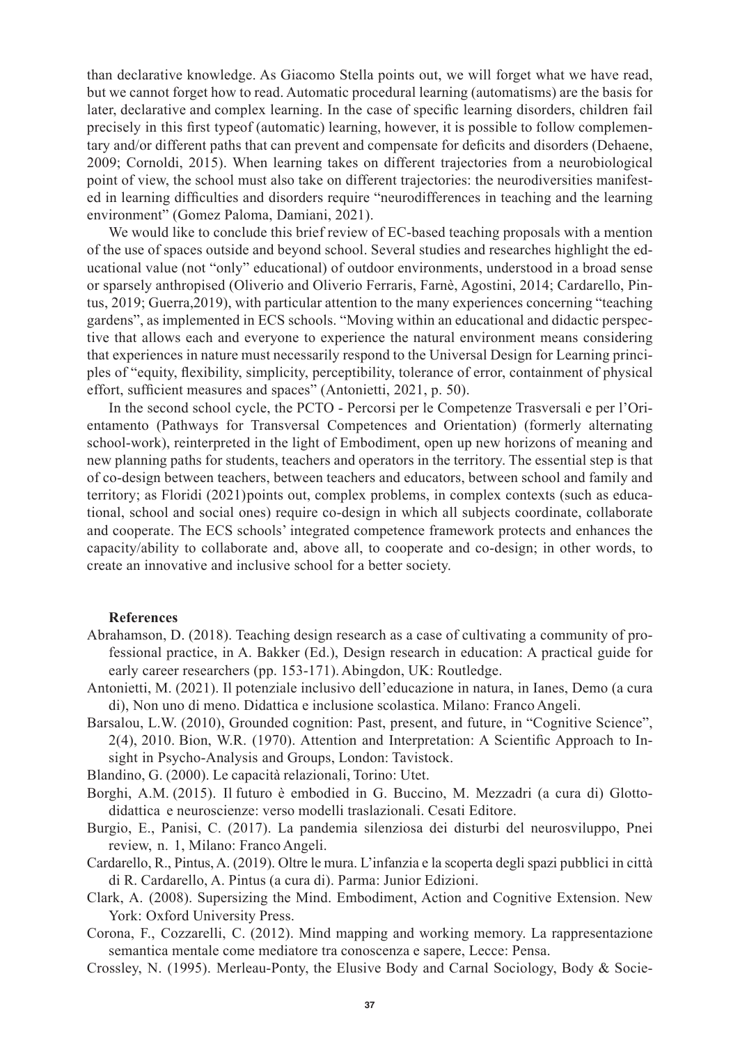than declarative knowledge. As Giacomo Stella points out, we will forget what we have read, but we cannot forget how to read. Automatic procedural learning (automatisms) are the basis for later, declarative and complex learning. In the case of specific learning disorders, children fail precisely in this first type of (automatic) learning, however, it is possible to follow complementary and/or different paths that can prevent and compensate for deficits and disorders (Dehaene, 2009; Cornoldi, 2015). When learning takes on different trajectories from a neurobiological point of view, the school must also take on different trajectories: the neurodiversities manifested in learning difficulties and disorders require "neurodifferences in teaching and the learning environment" (Gomez Paloma, Damiani, 2021).

We would like to conclude this brief review of EC-based teaching proposals with a mention of the use of spaces outside and beyond school. Several studies and researches highlight the educational value (not "only" educational) of outdoor environments, understood in a broad sense or sparsely anthropised (Oliverio and Oliverio Ferraris, Farnè, Agostini, 2014; Cardarello, Pintus, 2019; Guerra, 2019), with particular attention to the many experiences concerning "teaching gardens", as implemented in ECS schools. "Moving within an educational and didactic perspective that allows each and everyone to experience the natural environment means considering that experiences in nature must necessarily respond to the Universal Design for Learning principles of "equity, flexibility, simplicity, perceptibility, tolerance of error, containment of physical effort, sufficient measures and spaces" (Antonietti, 2021, p. 50).

In the second school cycle, the PCTO - Percorsi per le Competenze Trasversali e per l'Orientamento (Pathways for Transversal Competences and Orientation) (formerly alternating school-work), reinterpreted in the light of Embodiment, open up new horizons of meaning and new planning paths for students, teachers and operators in the territory. The essential step is that of co-design between teachers, between teachers and educators, between school and family and territory; as Floridi (2021) points out, complex problems, in complex contexts (such as educational, school and social ones) require co-design in which all subjects coordinate, collaborate and cooperate. The ECS schools' integrated competence framework protects and enhances the capacity/ability to collaborate and, above all, to cooperate and co-design; in other words, to create an innovative and inclusive school for a better society.

#### **References**

- Abrahamson, D. (2018). Teaching design research as a case of cultivating a community of professional practice, in A. Bakker (Ed.), Design research in education: A practical guide for early career researchers (pp. 153-171). Abingdon, UK: Routledge.
- Antonietti, M. (2021). Il potenziale inclusivo dell'educazione in natura, in Ianes, Demo (a cura di), Non uno di meno. Didattica e inclusione scolastica. Milano: Franco Angeli.
- Barsalou, L.W. (2010), Grounded cognition: Past, present, and future, in "Cognitive Science", 2(4), 2010. Bion, W.R. (1970). Attention and Interpretation: A Scientific Approach to Insight in Psycho-Analysis and Groups, London: Tavistock.

Blandino, G. (2000). Le capacità relazionali, Torino: Utet.

- Borghi, A.M. (2015). Il futuro è embodied in G. Buccino, M. Mezzadri (a cura di) Glottodidattica e neuroscienze: verso modelli traslazionali. Cesati Editore.
- Burgio, E., Panisi, C. (2017). La pandemia silenziosa dei disturbi del neurosviluppo, Pnei review, n. 1, Milano: Franco Angeli.
- Cardarello, R., Pintus, A. (2019). Oltre le mura. L'infanzia e la scoperta degli spazi pubblici in città di R. Cardarello, A. Pintus (a cura di). Parma: Junior Edizioni.
- Clark, A. (2008). Supersizing the Mind. Embodiment, Action and Cognitive Extension. New York: Oxford University Press.
- Corona, F., Cozzarelli, C. (2012). Mind mapping and working memory. La rappresentazione semantica mentale come mediatore tra conoscenza e sapere, Lecce: Pensa.
- Crossley, N. (1995). Merleau-Ponty, the Elusive Body and Carnal Sociology, Body & Socie-